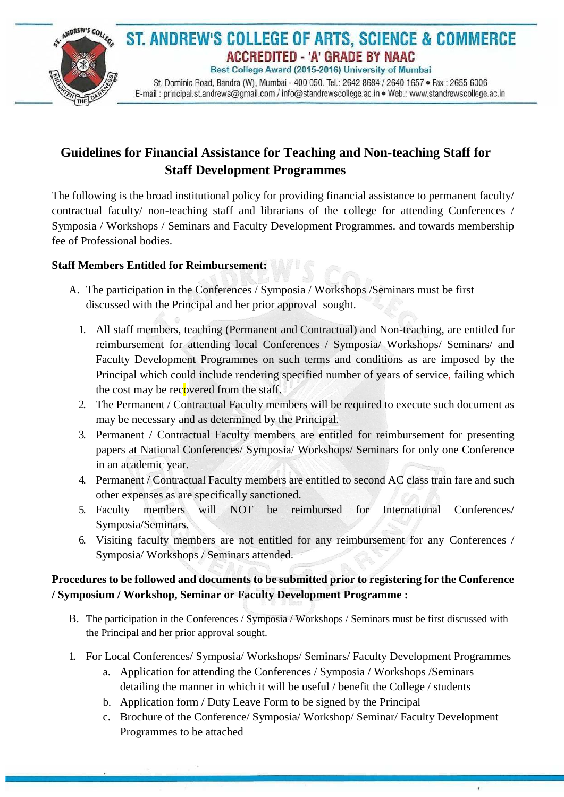

# **Guidelines for Financial Assistance for Teaching and Non-teaching Staff for Staff Development Programmes**

The following is the broad institutional policy for providing financial assistance to permanent faculty/ contractual faculty/ non-teaching staff and librarians of the college for attending Conferences / Symposia / Workshops / Seminars and Faculty Development Programmes. and towards membership fee of Professional bodies.

### **Staff Members Entitled for Reimbursement:**

- A. The participation in the Conferences / Symposia / Workshops /Seminars must be first discussed with the Principal and her prior approval sought.
	- 1. All staff members, teaching (Permanent and Contractual) and Non-teaching, are entitled for reimbursement for attending local Conferences / Symposia/ Workshops/ Seminars/ and Faculty Development Programmes on such terms and conditions as are imposed by the Principal which could include rendering specified number of years of service, failing which the cost may be recovered from the staff.
	- 2. The Permanent / Contractual Faculty members will be required to execute such document as may be necessary and as determined by the Principal.
	- 3. Permanent / Contractual Faculty members are entitled for reimbursement for presenting papers at National Conferences/ Symposia/ Workshops/ Seminars for only one Conference in an academic year.
	- 4. Permanent / Contractual Faculty members are entitled to second AC class train fare and such other expenses as are specifically sanctioned.
	- 5. Faculty members will NOT be reimbursed for International Conferences/ Symposia/Seminars.
	- 6. Visiting faculty members are not entitled for any reimbursement for any Conferences / Symposia/ Workshops / Seminars attended.

## **Procedures to be followed and documents to be submitted prior to registering for the Conference / Symposium / Workshop, Seminar or Faculty Development Programme :**

- B. The participation in the Conferences / Symposia / Workshops / Seminars must be first discussed with the Principal and her prior approval sought.
- 1. For Local Conferences/ Symposia/ Workshops/ Seminars/ Faculty Development Programmes
	- a. Application for attending the Conferences / Symposia / Workshops /Seminars detailing the manner in which it will be useful / benefit the College / students
	- b. Application form / Duty Leave Form to be signed by the Principal
	- c. Brochure of the Conference/ Symposia/ Workshop/ Seminar/ Faculty Development Programmes to be attached

ú